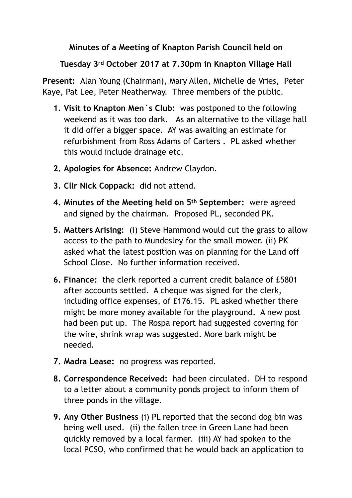## **Minutes of a Meeting of Knapton Parish Council held on**

## **Tuesday 3rd October 2017 at 7.30pm in Knapton Village Hall**

**Present:** Alan Young (Chairman), Mary Allen, Michelle de Vries, Peter Kaye, Pat Lee, Peter Neatherway. Three members of the public.

- **1. Visit to Knapton Men`s Club:** was postponed to the following weekend as it was too dark.As an alternative to the village hall it did offer a bigger space. AY was awaiting an estimate for refurbishment from Ross Adams of Carters . PL asked whether this would include drainage etc.
- **2. Apologies for Absence:** Andrew Claydon.
- **3. Cllr Nick Coppack:** did not attend.
- **4. Minutes of the Meeting held on 5th September:** were agreed and signed by the chairman. Proposed PL, seconded PK.
- **5. Matters Arising:** (i) Steve Hammond would cut the grass to allow access to the path to Mundesley for the small mower. (ii) PK asked what the latest position was on planning for the Land off School Close. No further information received.
- **6. Finance:** the clerk reported a current credit balance of £5801 after accounts settled. A cheque was signed for the clerk, including office expenses, of £176.15. PL asked whether there might be more money available for the playground. A new post had been put up. The Rospa report had suggested covering for the wire, shrink wrap was suggested. More bark might be needed.
- **7. Madra Lease:** no progress was reported.
- **8. Correspondence Received:** had been circulated. DH to respond to a letter about a community ponds project to inform them of three ponds in the village.
- **9. Any Other Business** (i) PL reported that the second dog bin was being well used. (ii) the fallen tree in Green Lane had been quickly removed by a local farmer. (iii) AY had spoken to the local PCSO, who confirmed that he would back an application to